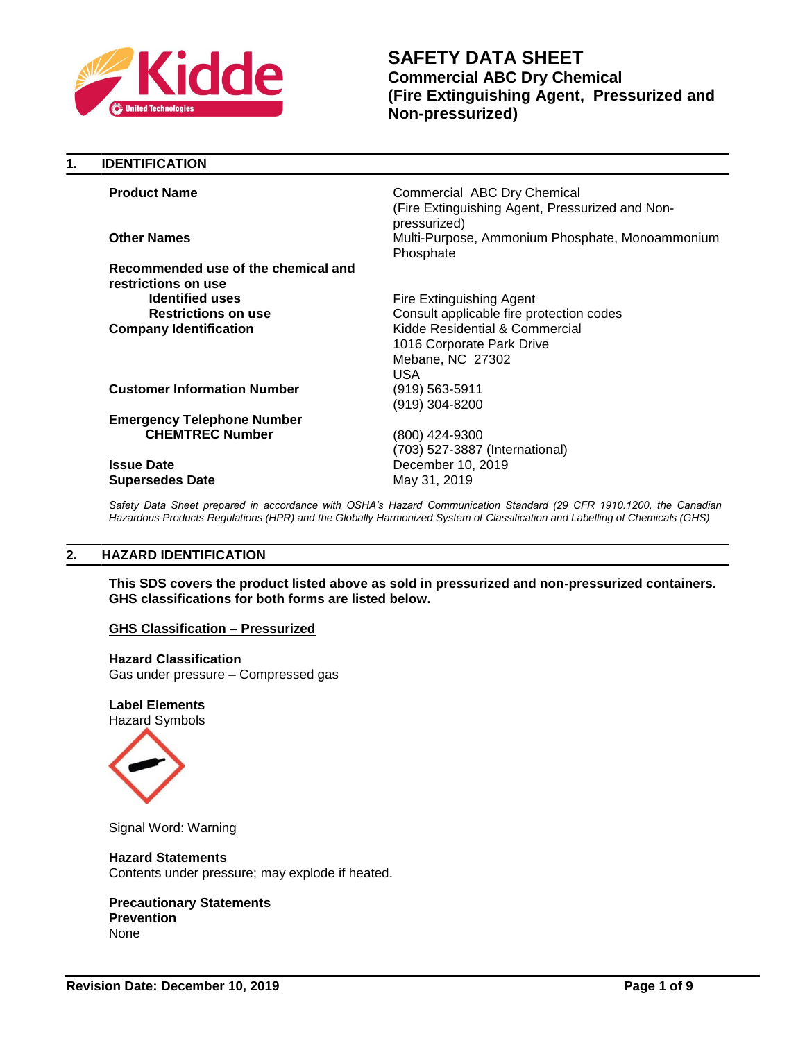

| 1. | <b>IDENTIFICATION</b>               |                                                                                                |
|----|-------------------------------------|------------------------------------------------------------------------------------------------|
|    | <b>Product Name</b>                 | Commercial ABC Dry Chemical<br>(Fire Extinguishing Agent, Pressurized and Non-<br>pressurized) |
|    | <b>Other Names</b>                  | Multi-Purpose, Ammonium Phosphate, Monoammonium<br>Phosphate                                   |
|    | Recommended use of the chemical and |                                                                                                |
|    | restrictions on use                 |                                                                                                |
|    | <b>Identified uses</b>              | Fire Extinguishing Agent                                                                       |
|    | <b>Restrictions on use</b>          | Consult applicable fire protection codes                                                       |
|    | <b>Company Identification</b>       | Kidde Residential & Commercial<br>1016 Corporate Park Drive<br>Mebane, NC 27302<br><b>USA</b>  |
|    | <b>Customer Information Number</b>  | (919) 563-5911<br>(919) 304-8200                                                               |
|    | <b>Emergency Telephone Number</b>   |                                                                                                |
|    | <b>CHEMTREC Number</b>              | (800) 424-9300<br>(703) 527-3887 (International)                                               |
|    | <b>Issue Date</b>                   | December 10, 2019                                                                              |
|    | <b>Supersedes Date</b>              | May 31, 2019                                                                                   |

Safety Data Sheet prepared in accordance with OSHA's Hazard Communication Standard (29 CFR 1910.1200, the Canadian *Hazardous Products Regulations (HPR) and the Globally Harmonized System of Classification and Labelling of Chemicals (GHS)*

# **2. HAZARD IDENTIFICATION**

**This SDS covers the product listed above as sold in pressurized and non-pressurized containers. GHS classifications for both forms are listed below.**

# **GHS Classification – Pressurized**

**Hazard Classification** Gas under pressure – Compressed gas

**Label Elements** Hazard Symbols



Signal Word: Warning

### **Hazard Statements**

Contents under pressure; may explode if heated.

### **Precautionary Statements Prevention**

None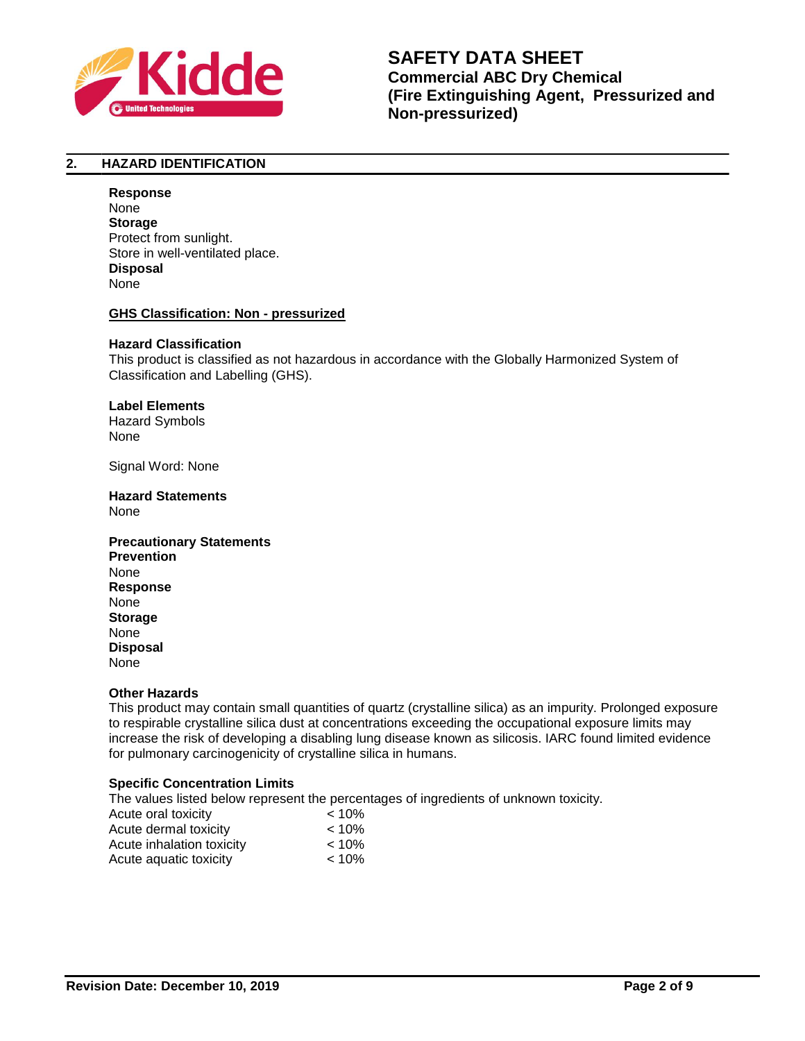

# **2. HAZARD IDENTIFICATION**

### **Response**

None **Storage** Protect from sunlight. Store in well-ventilated place. **Disposal** None

# **GHS Classification: Non - pressurized**

# **Hazard Classification**

This product is classified as not hazardous in accordance with the Globally Harmonized System of Classification and Labelling (GHS).

### **Label Elements**

Hazard Symbols None

Signal Word: None

### **Hazard Statements**  None

# **Precautionary Statements Prevention** None **Response** None **Storage** None **Disposal** None

# **Other Hazards**

This product may contain small quantities of quartz (crystalline silica) as an impurity. Prolonged exposure to respirable crystalline silica dust at concentrations exceeding the occupational exposure limits may increase the risk of developing a disabling lung disease known as silicosis. IARC found limited evidence for pulmonary carcinogenicity of crystalline silica in humans.

# **Specific Concentration Limits**

The values listed below represent the percentages of ingredients of unknown toxicity.

| Acute oral toxicity       | $< 10\%$ |
|---------------------------|----------|
| Acute dermal toxicity     | $< 10\%$ |
| Acute inhalation toxicity | $< 10\%$ |
| Acute aquatic toxicity    | $< 10\%$ |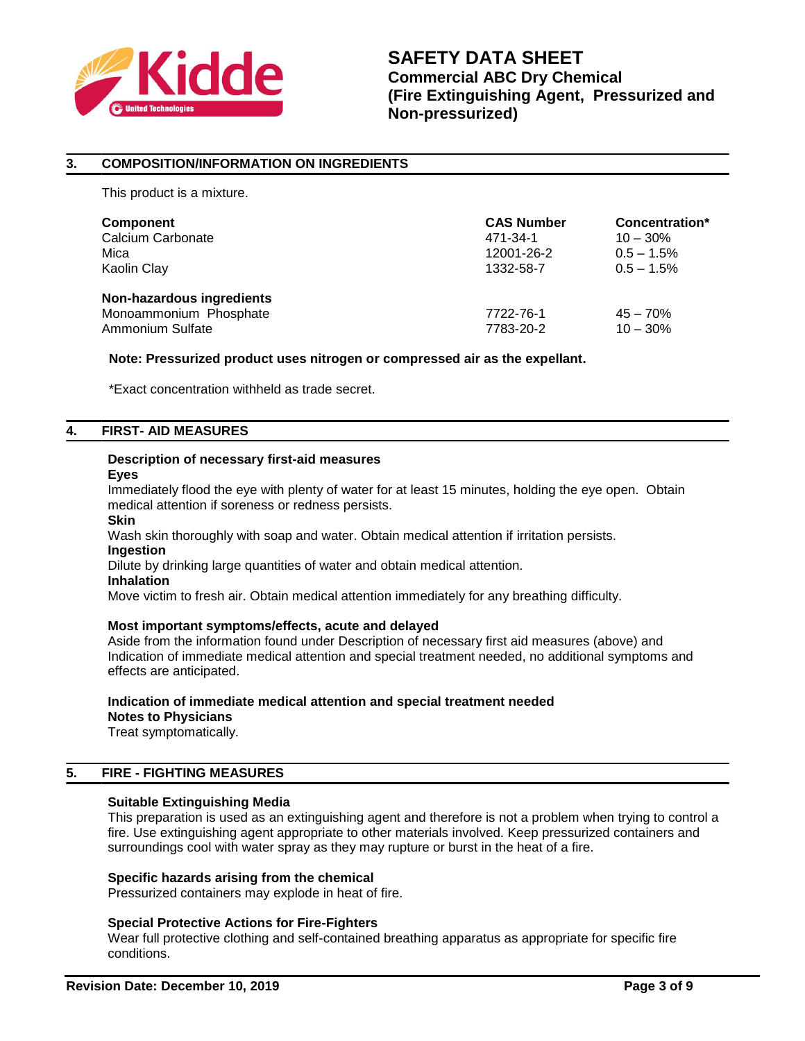

# **3. COMPOSITION/INFORMATION ON INGREDIENTS**

This product is a mixture.

| Component                                                               | <b>CAS Number</b>      | Concentration*           |
|-------------------------------------------------------------------------|------------------------|--------------------------|
| Calcium Carbonate                                                       | 471-34-1               | $10 - 30\%$              |
| Mica                                                                    | 12001-26-2             | $0.5 - 1.5%$             |
| Kaolin Clay                                                             | 1332-58-7              | $0.5 - 1.5\%$            |
| Non-hazardous ingredients<br>Monoammonium Phosphate<br>Ammonium Sulfate | 7722-76-1<br>7783-20-2 | $45 - 70%$<br>$10 - 30%$ |

### **Note: Pressurized product uses nitrogen or compressed air as the expellant.**

\*Exact concentration withheld as trade secret.

### **4. FIRST- AID MEASURES**

# **Description of necessary first-aid measures**

**Eyes**

Immediately flood the eye with plenty of water for at least 15 minutes, holding the eye open. Obtain medical attention if soreness or redness persists.

**Skin**

Wash skin thoroughly with soap and water. Obtain medical attention if irritation persists. **Ingestion**

Dilute by drinking large quantities of water and obtain medical attention.

### **Inhalation**

Move victim to fresh air. Obtain medical attention immediately for any breathing difficulty.

# **Most important symptoms/effects, acute and delayed**

Aside from the information found under Description of necessary first aid measures (above) and Indication of immediate medical attention and special treatment needed, no additional symptoms and effects are anticipated.

# **Indication of immediate medical attention and special treatment needed Notes to Physicians**

Treat symptomatically.

# **5. FIRE - FIGHTING MEASURES**

# **Suitable Extinguishing Media**

This preparation is used as an extinguishing agent and therefore is not a problem when trying to control a fire. Use extinguishing agent appropriate to other materials involved. Keep pressurized containers and surroundings cool with water spray as they may rupture or burst in the heat of a fire.

# **Specific hazards arising from the chemical**

Pressurized containers may explode in heat of fire.

# **Special Protective Actions for Fire-Fighters**

Wear full protective clothing and self-contained breathing apparatus as appropriate for specific fire conditions.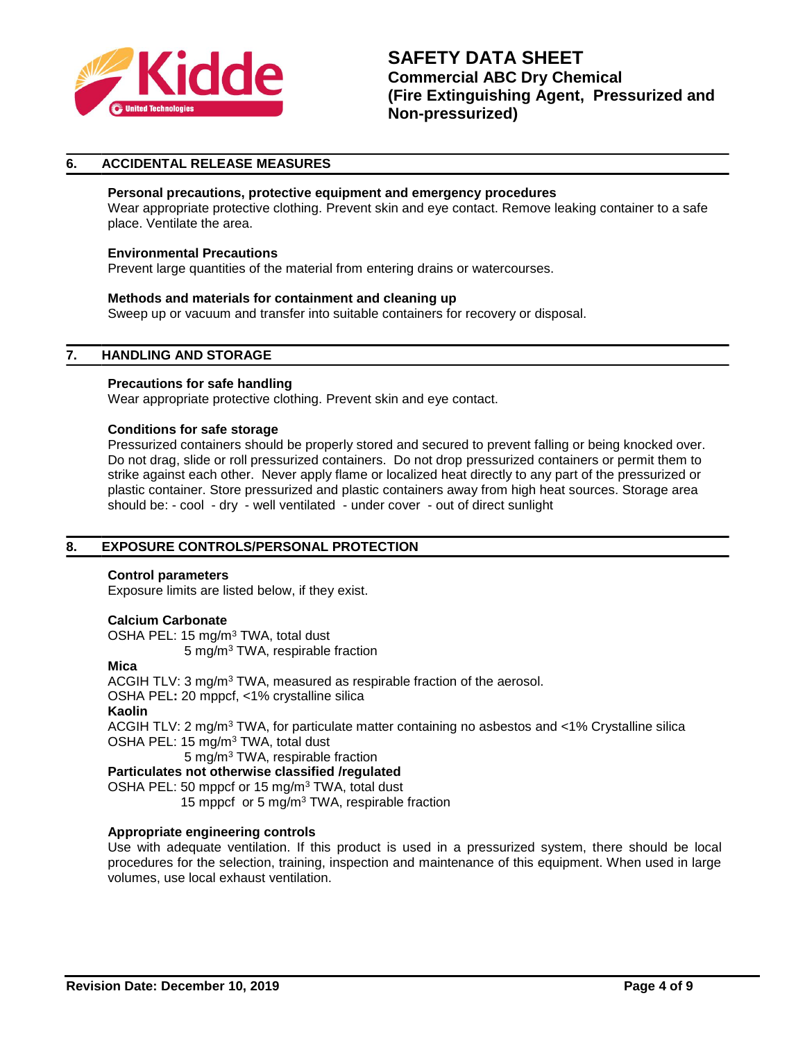

# **6. ACCIDENTAL RELEASE MEASURES**

# **Personal precautions, protective equipment and emergency procedures**

Wear appropriate protective clothing. Prevent skin and eye contact. Remove leaking container to a safe place. Ventilate the area.

### **Environmental Precautions**

Prevent large quantities of the material from entering drains or watercourses.

### **Methods and materials for containment and cleaning up**

Sweep up or vacuum and transfer into suitable containers for recovery or disposal.

### **7. HANDLING AND STORAGE**

### **Precautions for safe handling**

Wear appropriate protective clothing. Prevent skin and eye contact.

### **Conditions for safe storage**

Pressurized containers should be properly stored and secured to prevent falling or being knocked over. Do not drag, slide or roll pressurized containers. Do not drop pressurized containers or permit them to strike against each other. Never apply flame or localized heat directly to any part of the pressurized or plastic container. Store pressurized and plastic containers away from high heat sources. Storage area should be: - cool - dry - well ventilated - under cover - out of direct sunlight

# **8. EXPOSURE CONTROLS/PERSONAL PROTECTION**

### **Control parameters**

Exposure limits are listed below, if they exist.

### **Calcium Carbonate**

OSHA PEL: 15 mg/m<sup>3</sup> TWA, total dust 5 mg/m<sup>3</sup> TWA, respirable fraction

### **Mica**

ACGIH TLV: 3 mg/m<sup>3</sup> TWA, measured as respirable fraction of the aerosol. OSHA PEL**:** 20 mppcf, <1% crystalline silica **Kaolin** ACGIH TLV: 2 mg/m<sup>3</sup> TWA, for particulate matter containing no asbestos and  $<$ 1% Crystalline silica OSHA PEL: 15 mg/m<sup>3</sup> TWA, total dust 5 mg/m<sup>3</sup> TWA, respirable fraction

**Particulates not otherwise classified /regulated** OSHA PEL: 50 mppcf or 15 mg/m<sup>3</sup> TWA, total dust 15 mppcf or 5 mg/m<sup>3</sup> TWA, respirable fraction

# **Appropriate engineering controls**

Use with adequate ventilation. If this product is used in a pressurized system, there should be local procedures for the selection, training, inspection and maintenance of this equipment. When used in large volumes, use local exhaust ventilation.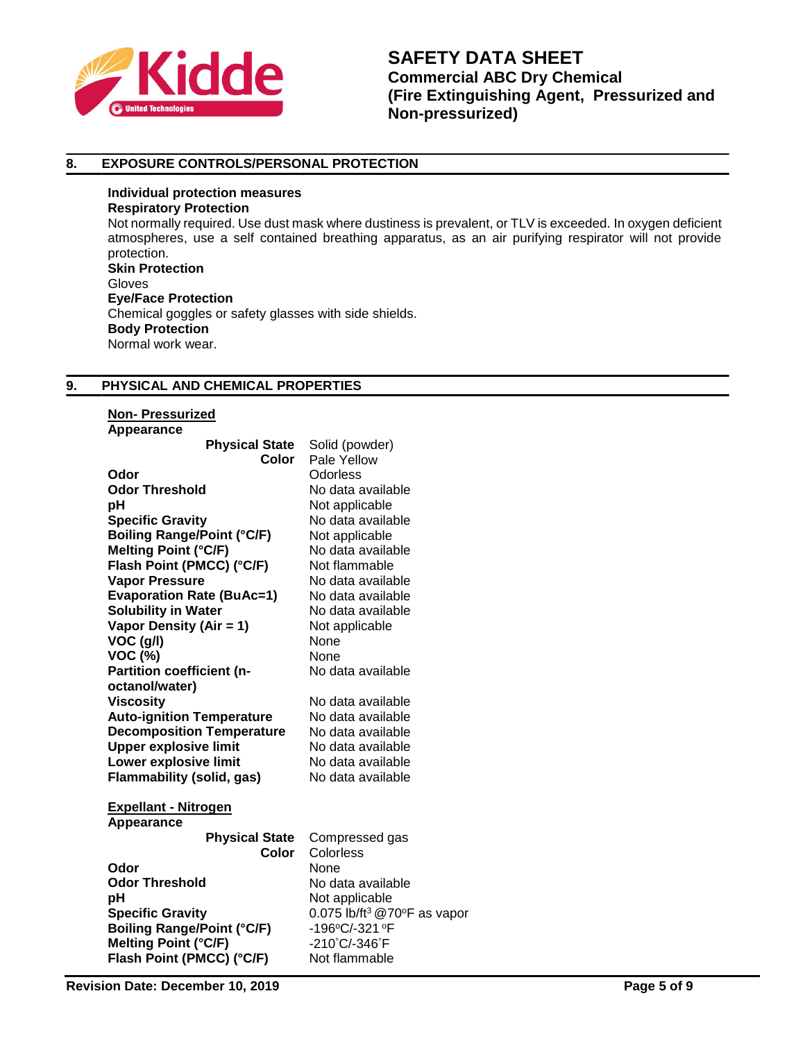

# **8. EXPOSURE CONTROLS/PERSONAL PROTECTION**

**Individual protection measures Respiratory Protection** Not normally required. Use dust mask where dustiness is prevalent, or TLV is exceeded. In oxygen deficient atmospheres, use a self contained breathing apparatus, as an air purifying respirator will not provide protection. **Skin Protection** Gloves **Eye/Face Protection** Chemical goggles or safety glasses with side shields. **Body Protection** Normal work wear.

# **9. PHYSICAL AND CHEMICAL PROPERTIES**

| <b>Non-Pressurized</b> |  |
|------------------------|--|
| Annosranco             |  |

| Appearance<br><b>Physical State</b><br>Color                                                                                                                                                            | Solid (powder)<br>Pale Yellow                                                                                             |
|---------------------------------------------------------------------------------------------------------------------------------------------------------------------------------------------------------|---------------------------------------------------------------------------------------------------------------------------|
| Odor                                                                                                                                                                                                    | <b>Odorless</b>                                                                                                           |
| <b>Odor Threshold</b>                                                                                                                                                                                   | No data available                                                                                                         |
| рH                                                                                                                                                                                                      | Not applicable                                                                                                            |
| <b>Specific Gravity</b>                                                                                                                                                                                 | No data available                                                                                                         |
| <b>Boiling Range/Point (°C/F)</b>                                                                                                                                                                       | Not applicable                                                                                                            |
| <b>Melting Point (°C/F)</b>                                                                                                                                                                             | No data available                                                                                                         |
| Flash Point (PMCC) (°C/F)                                                                                                                                                                               | Not flammable                                                                                                             |
| <b>Vapor Pressure</b><br><b>Evaporation Rate (BuAc=1)</b><br><b>Solubility in Water</b><br>Vapor Density (Air = 1)<br>VOC (g/l)<br><b>VOC (%)</b><br><b>Partition coefficient (n-</b><br>octanol/water) | No data available<br>No data available<br>No data available<br>Not applicable<br>None<br><b>None</b><br>No data available |
| <b>Viscosity</b>                                                                                                                                                                                        | No data available                                                                                                         |
| <b>Auto-ignition Temperature</b>                                                                                                                                                                        | No data available                                                                                                         |
| <b>Decomposition Temperature</b>                                                                                                                                                                        | No data available                                                                                                         |
| <b>Upper explosive limit</b>                                                                                                                                                                            | No data available                                                                                                         |
| Lower explosive limit                                                                                                                                                                                   | No data available                                                                                                         |
| Flammability (solid, gas)                                                                                                                                                                               | No data available                                                                                                         |
| <b>Expellant - Nitrogen</b><br>Appearance<br><b>Physical State</b>                                                                                                                                      | Compressed gas                                                                                                            |
| Color                                                                                                                                                                                                   | Colorless                                                                                                                 |
| Odor                                                                                                                                                                                                    | <b>None</b>                                                                                                               |
| <b>Odor Threshold</b>                                                                                                                                                                                   | No data available                                                                                                         |
| рH                                                                                                                                                                                                      | Not applicable                                                                                                            |
| <b>Specific Gravity</b>                                                                                                                                                                                 | 0.075 lb/ft <sup>3</sup> @70 $\degree$ F as vapor                                                                         |
| <b>Boiling Range/Point (°C/F)</b>                                                                                                                                                                       | -196°C/-321°F                                                                                                             |
| Melting Point (°C/F)                                                                                                                                                                                    | -210°C/-346°F                                                                                                             |
| Flash Point (PMCC) (°C/F)                                                                                                                                                                               | Not flammable                                                                                                             |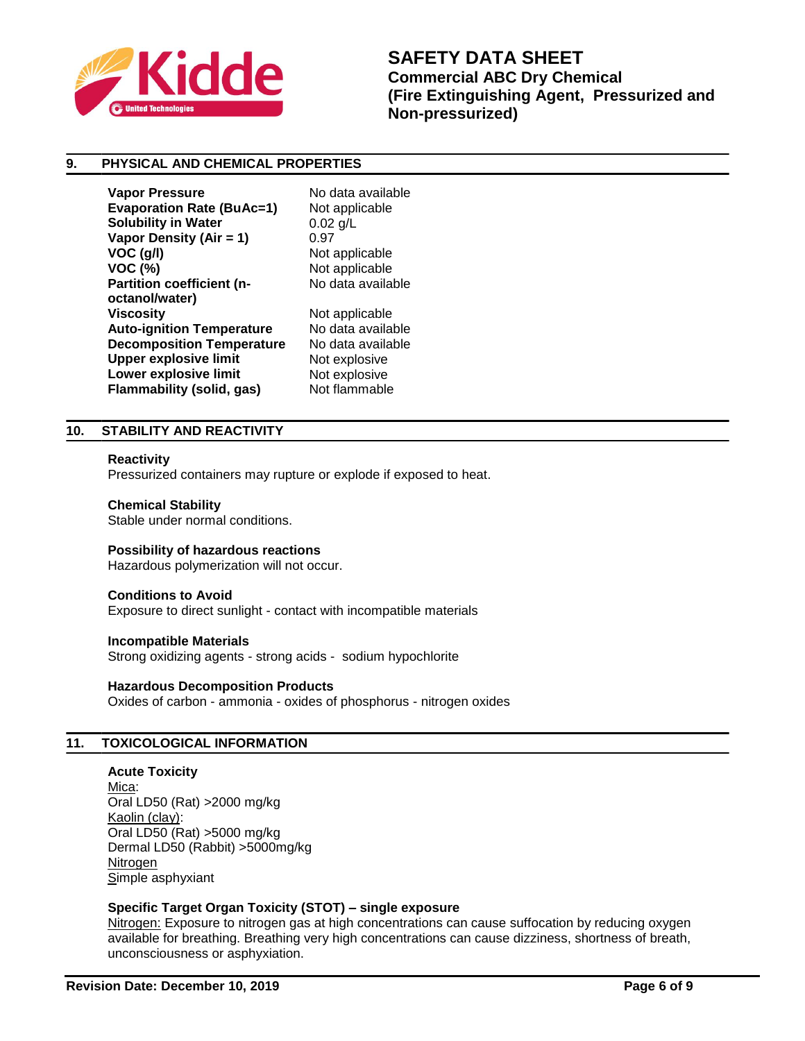

# **9. PHYSICAL AND CHEMICAL PROPERTIES**

**Vapor Pressure No data available Evaporation Rate (BuAc=1)** Not applicable **Solubility in Water** 0.02 g/L **Vapor Density (Air = 1)** 0.97 **VOC (g/l)** Not applicable **VOC (%)** Not applicable **Partition coefficient (noctanol/water) Auto-ignition Temperature** No data available **Decomposition Temperature** No data available **Upper explosive limit** Not explosive **Lower explosive limit** Not explosive **Flammability (solid, gas)** Not flammable

No data available **Not applicable** 

# **10. STABILITY AND REACTIVITY**

### **Reactivity**

Pressurized containers may rupture or explode if exposed to heat.

### **Chemical Stability**

Stable under normal conditions.

### **Possibility of hazardous reactions**

Hazardous polymerization will not occur.

### **Conditions to Avoid**

Exposure to direct sunlight - contact with incompatible materials

### **Incompatible Materials**

Strong oxidizing agents - strong acids - sodium hypochlorite

### **Hazardous Decomposition Products**

Oxides of carbon - ammonia - oxides of phosphorus - nitrogen oxides

# **11. TOXICOLOGICAL INFORMATION**

**Acute Toxicity** Mica: Oral LD50 (Rat) >2000 mg/kg Kaolin (clay): Oral LD50 (Rat) >5000 mg/kg Dermal LD50 (Rabbit) >5000mg/kg Nitrogen Simple asphyxiant

# **Specific Target Organ Toxicity (STOT) – single exposure**

Nitrogen: Exposure to nitrogen gas at high concentrations can cause suffocation by reducing oxygen available for breathing. Breathing very high concentrations can cause dizziness, shortness of breath, unconsciousness or asphyxiation.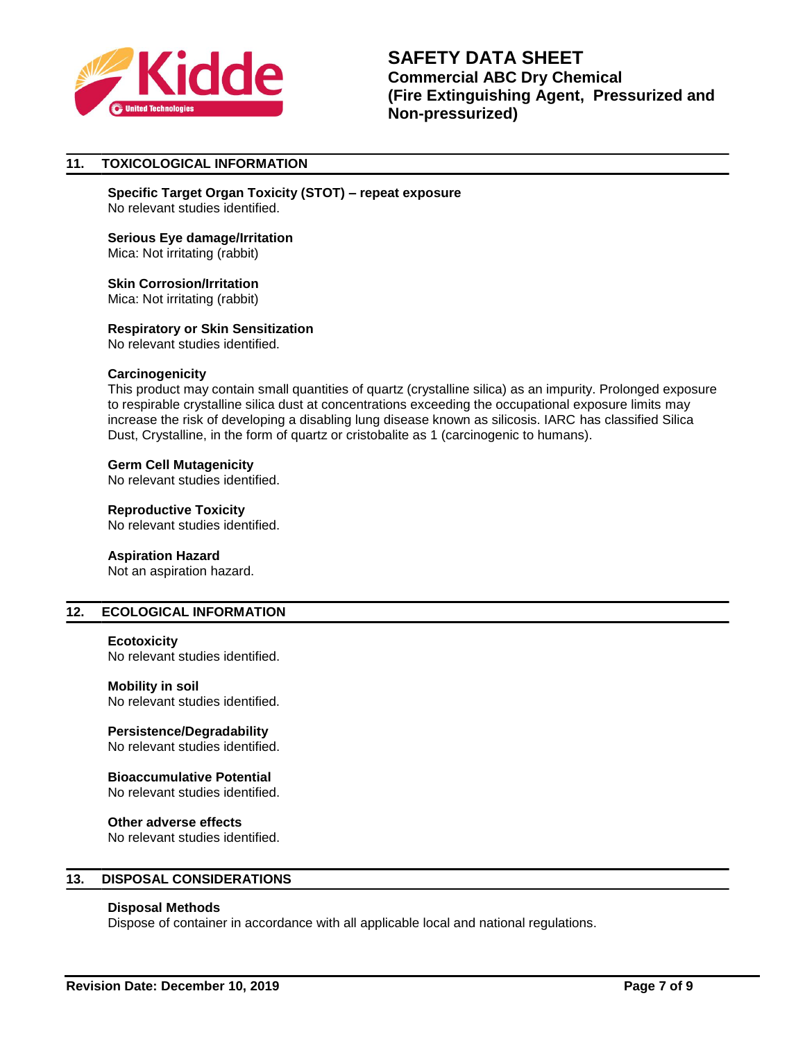

# **11. TOXICOLOGICAL INFORMATION**

**Specific Target Organ Toxicity (STOT) – repeat exposure** No relevant studies identified.

# **Serious Eye damage/Irritation** Mica: Not irritating (rabbit)

# **Skin Corrosion/Irritation** Mica: Not irritating (rabbit)

### **Respiratory or Skin Sensitization**

No relevant studies identified.

### **Carcinogenicity**

This product may contain small quantities of quartz (crystalline silica) as an impurity. Prolonged exposure to respirable crystalline silica dust at concentrations exceeding the occupational exposure limits may increase the risk of developing a disabling lung disease known as silicosis. IARC has classified Silica Dust, Crystalline, in the form of quartz or cristobalite as 1 (carcinogenic to humans).

### **Germ Cell Mutagenicity**

No relevant studies identified.

# **Reproductive Toxicity**

No relevant studies identified.

# **Aspiration Hazard**

Not an aspiration hazard.

# **12. ECOLOGICAL INFORMATION**

### **Ecotoxicity**

No relevant studies identified.

# **Mobility in soil**

No relevant studies identified.

# **Persistence/Degradability**

No relevant studies identified.

# **Bioaccumulative Potential**

No relevant studies identified.

# **Other adverse effects**

No relevant studies identified.

# **13. DISPOSAL CONSIDERATIONS**

# **Disposal Methods**

Dispose of container in accordance with all applicable local and national regulations.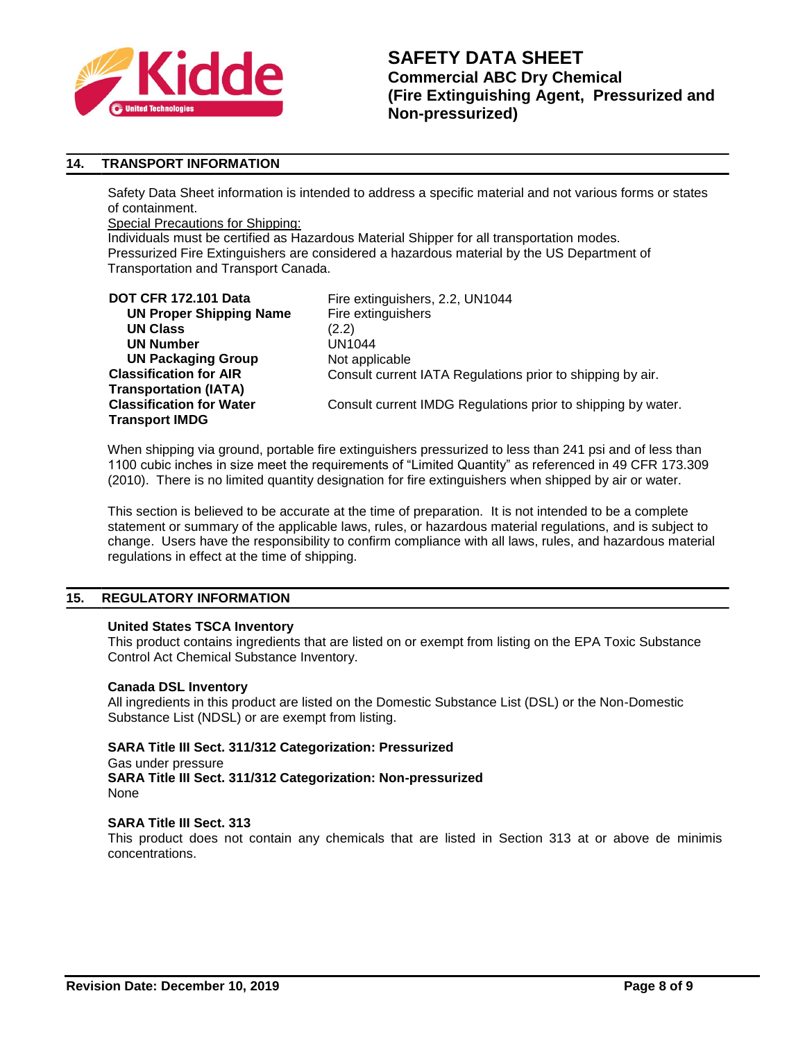

# **14. TRANSPORT INFORMATION**

Safety Data Sheet information is intended to address a specific material and not various forms or states of containment.

Special Precautions for Shipping:

Individuals must be certified as Hazardous Material Shipper for all transportation modes. Pressurized Fire Extinguishers are considered a hazardous material by the US Department of Transportation and Transport Canada.

| <b>DOT CFR 172.101 Data</b>     | Fire e          |
|---------------------------------|-----------------|
| <b>UN Proper Shipping Name</b>  | Fire $\epsilon$ |
| <b>UN Class</b>                 | (2.2)           |
| <b>UN Number</b>                | UN <sub>1</sub> |
| <b>UN Packaging Group</b>       | Not a           |
| <b>Classification for AIR</b>   | Cons            |
| <b>Transportation (IATA)</b>    |                 |
| <b>Classification for Water</b> | Cons            |
| <b>Transport IMDG</b>           |                 |
|                                 |                 |

Fire extinguishers, 2.2, UN1044 **Fire extinguishers UN1044 Not applicable** Consult current IATA Regulations prior to shipping by air. Consult current IMDG Regulations prior to shipping by water.

When shipping via ground, portable fire extinguishers pressurized to less than 241 psi and of less than 1100 cubic inches in size meet the requirements of "Limited Quantity" as referenced in 49 CFR 173.309 (2010). There is no limited quantity designation for fire extinguishers when shipped by air or water.

This section is believed to be accurate at the time of preparation. It is not intended to be a complete statement or summary of the applicable laws, rules, or hazardous material regulations, and is subject to change. Users have the responsibility to confirm compliance with all laws, rules, and hazardous material regulations in effect at the time of shipping.

# **15. REGULATORY INFORMATION**

# **United States TSCA Inventory**

This product contains ingredients that are listed on or exempt from listing on the EPA Toxic Substance Control Act Chemical Substance Inventory.

### **Canada DSL Inventory**

All ingredients in this product are listed on the Domestic Substance List (DSL) or the Non-Domestic Substance List (NDSL) or are exempt from listing.

# **SARA Title III Sect. 311/312 Categorization: Pressurized**

Gas under pressure **SARA Title III Sect. 311/312 Categorization: Non-pressurized** None

# **SARA Title III Sect. 313**

This product does not contain any chemicals that are listed in Section 313 at or above de minimis concentrations.